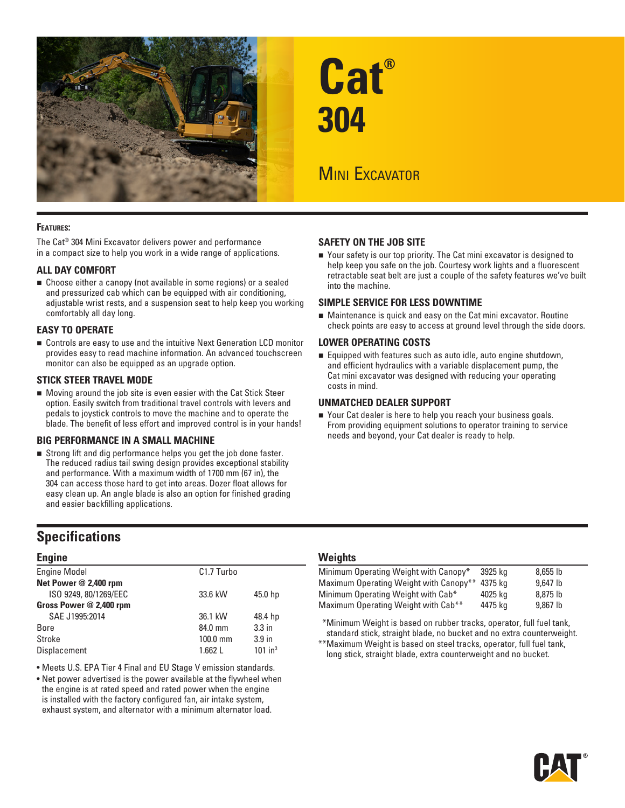

#### **Features:**

The Cat® 304 Mini Excavator delivers power and performance in a compact size to help you work in a wide range of applications.

#### **ALL DAY COMFORT**

 Choose either a canopy (not available in some regions) or a sealed and pressurized cab which can be equipped with air conditioning, adjustable wrist rests, and a suspension seat to help keep you working comfortably all day long.

#### **EASY TO OPERATE**

 Controls are easy to use and the intuitive Next Generation LCD monitor provides easy to read machine information. An advanced touchscreen monitor can also be equipped as an upgrade option.

#### **STICK STEER TRAVEL MODE**

 Moving around the job site is even easier with the Cat Stick Steer option. Easily switch from traditional travel controls with levers and pedals to joystick controls to move the machine and to operate the blade. The benefit of less effort and improved control is in your hands!

#### **BIG PERFORMANCE IN A SMALL MACHINE**

 Strong lift and dig performance helps you get the job done faster. The reduced radius tail swing design provides exceptional stability and performance. With a maximum width of 1700 mm (67 in), the 304 can access those hard to get into areas. Dozer float allows for easy clean up. An angle blade is also an option for finished grading and easier backfilling applications.

# **Specifications**

#### **Engine**

| <b>Engine Model</b>     | C <sub>1.7</sub> Turbo |                       |
|-------------------------|------------------------|-----------------------|
| Net Power @ 2,400 rpm   |                        |                       |
| ISO 9249, 80/1269/EEC   | 33.6 kW                | 45.0 hp               |
| Gross Power @ 2,400 rpm |                        |                       |
| SAE J1995:2014          | 36.1 kW                | 48.4 hp               |
| Bore                    | 84.0 mm                | 3.3 <sub>in</sub>     |
| Stroke                  | $100.0$ mm             | 3.9 <sub>in</sub>     |
| Displacement            | 1.662L                 | $101$ in <sup>3</sup> |
|                         |                        |                       |

• Meets U.S. EPA Tier 4 Final and EU Stage V emission standards.

• Net power advertised is the power available at the flywheel when the engine is at rated speed and rated power when the engine is installed with the factory configured fan, air intake system, exhaust system, and alternator with a minimum alternator load.

# **Cat® 304**

# **MINI EXCAVATOR**

#### **SAFETY ON THE JOB SITE**

■ Your safety is our top priority. The Cat mini excavator is designed to help keep you safe on the job. Courtesy work lights and a fluorescent retractable seat belt are just a couple of the safety features we've built into the machine.

#### **SIMPLE SERVICE FOR LESS DOWNTIME**

 Maintenance is quick and easy on the Cat mini excavator. Routine check points are easy to access at ground level through the side doors.

#### **LOWER OPERATING COSTS**

■ Equipped with features such as auto idle, auto engine shutdown, and efficient hydraulics with a variable displacement pump, the Cat mini excavator was designed with reducing your operating costs in mind.

#### **UNMATCHED DEALER SUPPORT**

■ Your Cat dealer is here to help you reach your business goals. From providing equipment solutions to operator training to service needs and beyond, your Cat dealer is ready to help.

#### **Weights**

| Minimum Operating Weight with Canopy*           | 3925 ka | $8.655$ lb |
|-------------------------------------------------|---------|------------|
| Maximum Operating Weight with Canopy**          | 4375 ka | 9.647 lb   |
| Minimum Operating Weight with Cab*              | 4025 ka | 8.875 lb   |
| Maximum Operating Weight with Cab <sup>**</sup> | 4475 ka | $9.867$ lb |

\*\*Minimum Weight is based on rubber tracks, operator, full fuel tank, standard stick, straight blade, no bucket and no extra counterweight.

\*\*Maximum Weight is based on steel tracks, operator, full fuel tank, long stick, straight blade, extra counterweight and no bucket.

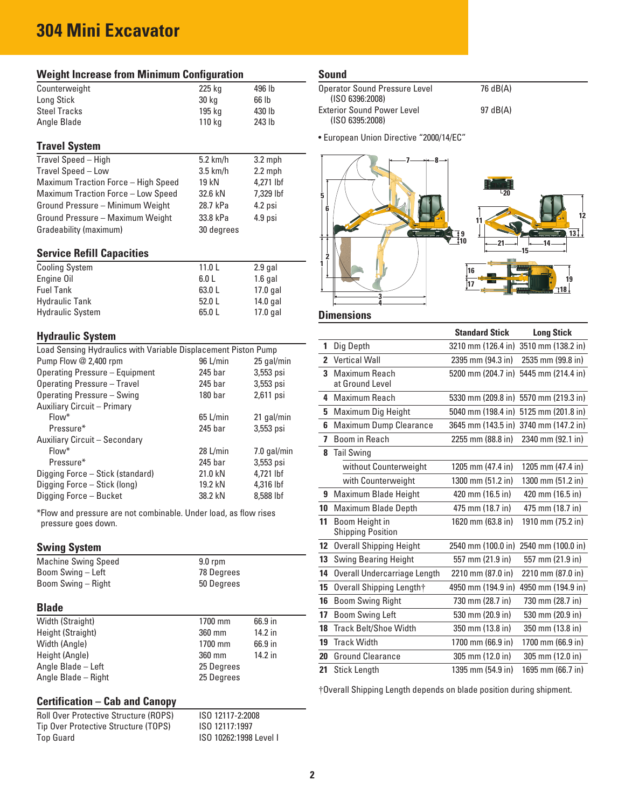# **304 Mini Excavator**

| <b>Weight Increase from Minimum Configuration</b>                                       |                    |             |  |  |
|-----------------------------------------------------------------------------------------|--------------------|-------------|--|--|
| Counterweight                                                                           | 225 kg             | 496 lb      |  |  |
| Long Stick                                                                              | 30 kg              | 66 lb       |  |  |
| <b>Steel Tracks</b>                                                                     | 195 kg             | 430 lb      |  |  |
| Angle Blade                                                                             | 110 kg             | 243 lb      |  |  |
|                                                                                         |                    |             |  |  |
| <b>Travel System</b>                                                                    |                    |             |  |  |
| Travel Speed - High                                                                     | $5.2$ km/h         | $3.2$ mph   |  |  |
| Travel Speed - Low                                                                      | $3.5$ km/h         | $2.2$ mph   |  |  |
| Maximum Traction Force - High Speed                                                     | 19 kN              | 4,271 lbf   |  |  |
| Maximum Traction Force - Low Speed                                                      | 32.6 kN            | 7,329 lbf   |  |  |
| Ground Pressure - Minimum Weight                                                        | 28.7 kPa           | 4.2 psi     |  |  |
| Ground Pressure - Maximum Weight                                                        | 33.8 kPa           | 4.9 psi     |  |  |
| Gradeability (maximum)                                                                  | 30 degrees         |             |  |  |
|                                                                                         |                    |             |  |  |
| <b>Service Refill Capacities</b>                                                        |                    |             |  |  |
| <b>Cooling System</b>                                                                   | 11.0 <sub>L</sub>  | $2.9$ gal   |  |  |
| Engine Oil                                                                              | 6.0 <sub>L</sub>   | $1.6$ gal   |  |  |
| <b>Fuel Tank</b>                                                                        | 63.0 L             | 17.0 gal    |  |  |
| <b>Hydraulic Tank</b>                                                                   | 52.0 L<br>14.0 gal |             |  |  |
| <b>Hydraulic System</b>                                                                 | 65.0 L             | 17.0 gal    |  |  |
| <b>Hydraulic System</b>                                                                 |                    |             |  |  |
| Load Sensing Hydraulics with Variable Displacement Piston Pump                          |                    |             |  |  |
| Pump Flow @ 2,400 rpm                                                                   | 96 L/min           | 25 gal/min  |  |  |
| <b>Operating Pressure - Equipment</b>                                                   | 245 bar            | 3,553 psi   |  |  |
| <b>Operating Pressure - Travel</b>                                                      | 245 bar            | 3,553 psi   |  |  |
| Operating Pressure - Swing                                                              | 180 <sub>bar</sub> | 2,611 psi   |  |  |
| Auxiliary Circuit - Primary                                                             |                    |             |  |  |
| Flow*                                                                                   | 65 L/min           | 21 gal/min  |  |  |
| Pressure*                                                                               | 245 bar            | 3,553 psi   |  |  |
| Auxiliary Circuit - Secondary                                                           |                    |             |  |  |
| Flow*                                                                                   | 28 L/min           | 7.0 gal/min |  |  |
| Pressure*                                                                               | 245 bar            | 3,553 psi   |  |  |
| Digging Force - Stick (standard)                                                        | 21.0 kN            | 4,721 lbf   |  |  |
| Digging Force - Stick (long)                                                            | 19.2 kN            | 4,316 lbf   |  |  |
| Digging Force - Bucket                                                                  | 38.2 kN            | 8.588 lbf   |  |  |
|                                                                                         |                    |             |  |  |
| *Flow and pressure are not combinable. Under load, as flow rises<br>pressure goes down. |                    |             |  |  |
| <b>Swing System</b>                                                                     |                    |             |  |  |
| <b>Machine Swing Speed</b>                                                              | $9.0$ rpm          |             |  |  |
| Boom Swing - Left                                                                       | 78 Degrees         |             |  |  |
| Boom Swing - Right                                                                      | 50 Degrees         |             |  |  |

## **Blade**

| wiauc               |            |         |  |
|---------------------|------------|---------|--|
| Width (Straight)    | 1700 mm    | 66.9 in |  |
| Height (Straight)   | 360 mm     | 14.2 in |  |
| Width (Angle)       | 1700 mm    | 66.9 in |  |
| Height (Angle)      | 360 mm     | 14.2 in |  |
| Angle Blade - Left  | 25 Degrees |         |  |
| Angle Blade - Right | 25 Degrees |         |  |

## **Certification – Cab and Canopy**

| Roll Over Protective Structure (ROPS) |  |
|---------------------------------------|--|
| Tip Over Protective Structure (TOPS)  |  |
| Top Guard                             |  |

Roll Over Protective Structure (ROPS) ISO 12117-2:2008 ISO 12117:1997 ISO 10262:1998 Level I

#### **Sound**

| Operator Sound Pressure Level<br>(ISO 6396:2008) | 76 dB(A) |
|--------------------------------------------------|----------|
| <b>Exterior Sound Power Level</b>                | 97 dB(A) |
| (ISO 6395:2008)                                  |          |

• European Union Directive "2000/14/EC"



## **Dimensions**

|              |                                            | <b>Standard Stick</b> | <b>Long Stick</b>                     |
|--------------|--------------------------------------------|-----------------------|---------------------------------------|
| 1            | Dig Depth                                  | 3210 mm (126.4 in)    | 3510 mm (138.2 in)                    |
| $\mathbf{2}$ | <b>Vertical Wall</b>                       | 2395 mm (94.3 in)     | 2535 mm (99.8 in)                     |
| 3            | Maximum Reach                              | 5200 mm (204.7 in)    | 5445 mm (214.4 in)                    |
|              | at Ground Level                            |                       |                                       |
| 4            | Maximum Reach                              |                       | 5330 mm (209.8 in) 5570 mm (219.3 in) |
| 5            | Maximum Dig Height                         | 5040 mm (198.4 in)    | 5125 mm (201.8 in)                    |
| 6            | Maximum Dump Clearance                     | 3645 mm (143.5 in)    | 3740 mm (147.2 in)                    |
| 7            | Boom in Reach                              | 2255 mm (88.8 in)     | 2340 mm (92.1 in)                     |
| 8            | <b>Tail Swing</b>                          |                       |                                       |
|              | without Counterweight                      | 1205 mm (47.4 in)     | 1205 mm (47.4 in)                     |
|              | with Counterweight                         | 1300 mm (51.2 in)     | 1300 mm (51.2 in)                     |
| 9            | Maximum Blade Height                       | 420 mm (16.5 in)      | 420 mm (16.5 in)                      |
| 10           | <b>Maximum Blade Depth</b>                 | 475 mm (18.7 in)      | 475 mm (18.7 in)                      |
| 11           | Boom Height in<br><b>Shipping Position</b> | 1620 mm (63.8 in)     | 1910 mm (75.2 in)                     |
| 12           | <b>Overall Shipping Height</b>             | 2540 mm (100.0 in)    | 2540 mm (100.0 in)                    |
| 13           | <b>Swing Bearing Height</b>                | 557 mm (21.9 in)      | 557 mm (21.9 in)                      |
| 14           | Overall Undercarriage Length               | 2210 mm (87.0 in)     | 2210 mm (87.0 in)                     |
| 15           | Overall Shipping Length†                   | 4950 mm (194.9 in)    | 4950 mm (194.9 in)                    |
| 16           | <b>Boom Swing Right</b>                    | 730 mm (28.7 in)      | 730 mm (28.7 in)                      |
| 17           | <b>Boom Swing Left</b>                     | 530 mm (20.9 in)      | 530 mm (20.9 in)                      |
| 18           | <b>Track Belt/Shoe Width</b>               | 350 mm (13.8 in)      | 350 mm (13.8 in)                      |
| 19           | <b>Track Width</b>                         | 1700 mm (66.9 in)     | 1700 mm (66.9 in)                     |
| 20           | <b>Ground Clearance</b>                    | 305 mm (12.0 in)      | 305 mm (12.0 in)                      |
| 21           | <b>Stick Length</b>                        | 1395 mm (54.9 in)     | 1695 mm (66.7 in)                     |

†Overall Shipping Length depends on blade position during shipment.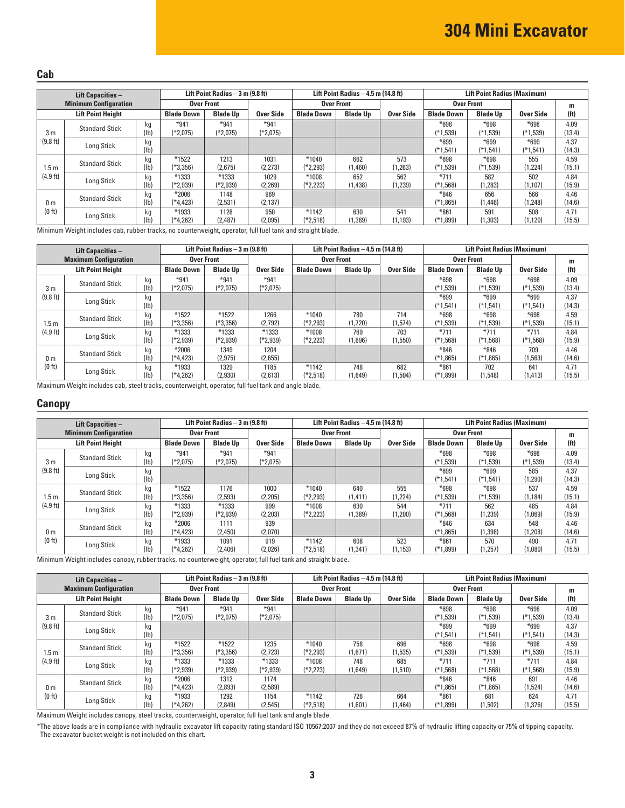#### **Cab**

| <b>Lift Capacities -</b> |                              | Lift Point Radius - 3 m (9.8 ft) |                       |                     |                      | Lift Point Radius $-4.5$ m (14.8 ft) |                 |                  | <b>Lift Point Radius (Maximum)</b> |                      |                      |                   |
|--------------------------|------------------------------|----------------------------------|-----------------------|---------------------|----------------------|--------------------------------------|-----------------|------------------|------------------------------------|----------------------|----------------------|-------------------|
|                          | <b>Minimum Configuration</b> |                                  | <b>Over Front</b>     |                     |                      | <b>Over Front</b>                    |                 |                  | <b>Over Front</b>                  |                      |                      | m                 |
|                          | <b>Lift Point Height</b>     |                                  | <b>Blade Down</b>     | <b>Blade Up</b>     | <b>Over Side</b>     | <b>Blade Down</b>                    | <b>Blade Up</b> | <b>Over Side</b> | <b>Blade Down</b>                  | <b>Blade Up</b>      | Over Side            | (f <sup>t</sup> ) |
| 3 <sub>m</sub>           | <b>Standard Stick</b>        | kg<br>(1b)                       | $*941$<br>(*2,075)    | $*941$<br>(*2,075)  | $*941$<br>$(*2,075)$ |                                      |                 |                  | $*698$<br>(*1,539)                 | $*698$<br>$(*1,539)$ | $*698$<br>$(*1,539)$ | 4.09<br>(13.4)    |
| (9.8 ft)                 | Long Stick                   | kg<br>(1b)                       |                       |                     |                      |                                      |                 |                  | $*699$<br>$(*1.541)$               | $*699$<br>$(*1,541)$ | $*699$<br>$(*1,541)$ | 4.37<br>(14.3)    |
| 1.5 <sub>m</sub>         | <b>Standard Stick</b>        | kg<br>(1 <sub>b</sub> )          | $*1522$<br>$(*3.356)$ | 1213<br>(2.675)     | 1031<br>(2,273)      | $*1040$<br>$*2.293$                  | 662<br>(1,460)  | 573<br>(1,263)   | $*698$<br>$(*1,539)$               | $*698$<br>$(*1,539)$ | 555<br>(1,224)       | 4.59<br>(15.1)    |
| (4.9 ft)                 | Long Stick                   | kg<br>(1b)                       | $*1333$<br>$(*2,939)$ | $*1333$<br>(*2,939) | 1029<br>(2.269)      | *1008<br>$(*2,223)$                  | 652<br>1,438)   | 562<br>(1,239)   | $*711$<br>$(*1,568)$               | 582<br>(1, 283)      | 502<br>(1, 107)      | 4.84<br>(15.9)    |
| 0 <sub>m</sub>           | <b>Standard Stick</b>        | kg<br>(1b)                       | $*2006$<br>$(*4.423)$ | 1148<br>(2,531)     | 969<br>(2, 137)      |                                      |                 |                  | $*846$<br>$(*1,865)$               | 656<br>(1, 446)      | 566<br>1,248)        | 4.46<br>(14.6)    |
| (0 ft)                   | Long Stick                   | kg<br>(1b)                       | *1933<br>$(*4,262)$   | 1128<br>(2,487)     | 950<br>(2,095)       | $*1142$<br>$(*2,518)$                | 630<br>1,389)   | 541<br>1,193)    | $*861$<br>(*1,899)                 | 591<br>(1, 303)      | 508<br>(1, 120)      | 4.71<br>(15.5)    |

Minimum Weight includes cab, rubber tracks, no counterweight, operator, full fuel tank and straight blade.

| Lift Capacities -                    |                              |      |                   | Lift Point Radius - 3 m (9.8 ft) |            |                   | Lift Point Radius $-4.5$ m (14.8 ft) |           |                   | <b>Lift Point Radius (Maximum)</b> |            |                   |  |
|--------------------------------------|------------------------------|------|-------------------|----------------------------------|------------|-------------------|--------------------------------------|-----------|-------------------|------------------------------------|------------|-------------------|--|
|                                      | <b>Maximum Configuration</b> |      | <b>Over Front</b> |                                  |            | <b>Over Front</b> |                                      |           | <b>Over Front</b> |                                    |            | m                 |  |
|                                      | <b>Lift Point Height</b>     |      | <b>Blade Down</b> | <b>Blade Up</b>                  | Over Side  | <b>Blade Down</b> | <b>Blade Up</b>                      | Over Side | <b>Blade Down</b> | <b>Blade Up</b>                    | Over Side  | (f <sup>t</sup> ) |  |
|                                      | <b>Standard Stick</b>        | kg   | $*941$            | $*941$                           | $*941$     |                   |                                      |           | $*698$            | $*698$                             | $*698$     | 4.09              |  |
| 3 <sub>m</sub>                       |                              | (1b) | $(*2,075)$        | $(*2,075)$                       | $(*2,075)$ |                   |                                      |           | $(*1,539)$        | $(*1,539)$                         | $(*1,539)$ | (13.4)            |  |
| (9.8 ft)                             |                              | kg   |                   |                                  |            |                   |                                      |           | $*699$            | $*699$                             | $*699$     | 4.37              |  |
|                                      | Long Stick                   | (1b) |                   |                                  |            |                   |                                      |           | $(*1,541)$        | $(*1,541)$                         | $(*1,541)$ | (14.3)            |  |
|                                      | <b>Standard Stick</b>        | kg   | $*1522$           | $*1522$                          | 1266       | $*1040$           | 780                                  | 714       | $*698$            | $*698$                             | $*698$     | 4.59              |  |
| 1.5 <sub>m</sub>                     |                              | (1b) | (*3,356)          | $(*3,356)$                       | (2,792)    | (*2,293)          | 1,720                                | (1,574)   | (*1,539)          | $(*1,539)$                         | $(*1,539)$ | (15.1)            |  |
| (4.9 ft)                             | Long Stick                   | kg   | $*1333$           | *1333                            | *1333      | $*1008$           | 769                                  | 703       | $*711$            | $*711$                             | $*711$     | 4.84              |  |
|                                      |                              | (1b) | (*2,939)          | (*2,939)                         | (*2,939)   | (*2,223)          | (1,696)                              | (1,550)   | $(*1,568)$        | $(*1,568)$                         | $(*1,568)$ | (15.9)            |  |
|                                      | <b>Standard Stick</b>        | kg   | $*2006$           | 1349                             | 1204       |                   |                                      |           | $*846$            | $*846$                             | 709        | 4.46              |  |
| 0 <sub>m</sub><br>(0 <sup>th</sup> ) |                              | (1b) | (*4.423)          | (2, 975)                         | (2,655)    |                   |                                      |           | $*1.865$          | $(*1,865)$                         | (1, 563)   | (14.6)            |  |
|                                      | Long Stick                   | kg   | *1933             | 1329                             | 1185       | $*1142$           | 748                                  | 682       | $*861$            | 702                                | 641        | 4.71              |  |
|                                      |                              | (1b) | (*4.262)          | (2,930)                          | (2,613)    | $(*2.518)$        | 1.649                                | (1.504)   | (*1.899)          | (1.548)                            | (1, 413)   | (15.5)            |  |

Maximum Weight includes cab, steel tracks, counterweight, operator, full fuel tank and angle blade.

#### **Canopy**

| <b>Lift Capacities -</b> |                              |      | Lift Point Radius $-3$ m (9.8 ft) |                 |            |                   | Lift Point Radius $-4.5$ m (14.8 ft) |                  |                   | <b>Lift Point Radius (Maximum)</b> |            |                   |  |
|--------------------------|------------------------------|------|-----------------------------------|-----------------|------------|-------------------|--------------------------------------|------------------|-------------------|------------------------------------|------------|-------------------|--|
|                          | <b>Minimum Configuration</b> |      | <b>Over Front</b>                 |                 |            | <b>Over Front</b> |                                      |                  | <b>Over Front</b> |                                    |            | m                 |  |
|                          | <b>Lift Point Height</b>     |      | <b>Blade Down</b>                 | <b>Blade Up</b> | Over Side  | <b>Blade Down</b> | <b>Blade Up</b>                      | <b>Over Side</b> | <b>Blade Down</b> | <b>Blade Up</b>                    | Over Side  | (f <sup>t</sup> ) |  |
|                          | <b>Standard Stick</b>        | kg   | $*941$                            | $*941$          | $*941$     |                   |                                      |                  | $*698$            | $*698$                             | $*698$     | 4.09              |  |
| 3 <sub>m</sub>           |                              | (1b) | $(*2.075)$                        | $(*2.075)$      | $(*2.075)$ |                   |                                      |                  | $(*1,539)$        | $(*1,539)$                         | $(*1,539)$ | (13.4)            |  |
| (9.8 ft)                 |                              | kg   |                                   |                 |            |                   |                                      |                  | $*699$            | $*699$                             | 585        | 4.37              |  |
|                          | Long Stick                   | (1b) |                                   |                 |            |                   |                                      |                  | $(*1,541)$        | $(*1,541)$                         | (1, 290)   | (14.3)            |  |
|                          | <b>Standard Stick</b>        | kg   | $*1522$                           | 1176            | 1000       | $*1040$           | 640                                  | 555              | $*698$            | $*698$                             | 537        | 4.59              |  |
| 1.5m                     |                              | (lb  | (*3,356)                          | (2,593)         | (2,205)    | (*2,293)          | (1, 411)                             | 1,224)           | $(*1,539)$        | $(*1,539)$                         | (1, 184)   | 15.1              |  |
| (4.9 ft)                 | Long Stick                   | kg   | $*1333$                           | $*1333$         | 999        | $*1008$           | 630                                  | 544              | $*711$            | 562                                | 485        | 4.84              |  |
|                          |                              | (1b) | $(*2.939)$                        | (*2,939)        | (2,203)    | (*2,223)          | 1,389)                               | 1,200            | $(*1,568)$        | (1,239)                            | (1,069)    | (15.9)            |  |
|                          | <b>Standard Stick</b>        | kg   | $*2006$                           | 1111            | 939        |                   |                                      |                  | $*846$            | 634                                | 548        | 4.46              |  |
| 0 <sub>m</sub><br>(0 ft) |                              | (1b) | $(*4.423)$                        | (2,450)         | (2,070)    |                   |                                      |                  | $(*1,865)$        | (1, 398)                           | (1,208)    | (14.6)            |  |
|                          | Long Stick                   | kg   | *1933                             | 1091            | 919        | $*1142$           | 608                                  | 523              | $*861$            | 570                                | 490        | 4.71              |  |
|                          |                              | (lb  | $(*4.262)$                        | (2.406)         | (2,026)    | (*2,518)          | 1,341)                               | (1, 153)         | $(*1,899)$        | (1, 257)                           | (1.080)    | (15.5)            |  |

Minimum Weight includes canopy, rubber tracks, no counterweight, operator, full fuel tank and straight blade.

| <b>Lift Capacities -</b>             |                              | Lift Point Radius $-3$ m (9.8 ft) |                      |                    | Lift Point Radius $-4.5$ m (14.8 ft) |                   |                 | <b>Lift Point Radius (Maximum)</b> |                    |                      |                      |                   |
|--------------------------------------|------------------------------|-----------------------------------|----------------------|--------------------|--------------------------------------|-------------------|-----------------|------------------------------------|--------------------|----------------------|----------------------|-------------------|
|                                      | <b>Maximum Configuration</b> |                                   |                      | <b>Over Front</b>  |                                      |                   | Over Front      |                                    |                    | <b>Over Front</b>    |                      | m                 |
|                                      | <b>Lift Point Height</b>     |                                   | <b>Blade Down</b>    | <b>Blade Up</b>    | Over Side                            | <b>Blade Down</b> | <b>Blade Up</b> | <b>Over Side</b>                   | <b>Blade Down</b>  | <b>Blade Up</b>      | Over Side            | (f <sup>t</sup> ) |
| 3 <sub>m</sub>                       | <b>Standard Stick</b>        | kg<br>(1b)                        | $*941$<br>$(*2.075)$ | $*941$<br>(*2,075) | $*941$<br>(*2,075)                   |                   |                 |                                    | $*698$<br>(*1,539) | $*698$<br>$(*1,539)$ | $*698$<br>$(*1,539)$ | 4.09<br>(13.4)    |
| (9.8 ft)                             |                              |                                   |                      |                    |                                      |                   |                 |                                    | $*699$             |                      |                      | 4.37              |
|                                      | Long Stick                   | kg<br>(1b)                        |                      |                    |                                      |                   |                 |                                    | $(*1,541)$         | $*699$<br>$(*1,541)$ | $*699$<br>$(*1,541)$ | (14.3)            |
|                                      |                              | kg                                | $*1522$              | $*1522$            | 1235                                 | $*1040$           | 758             | 696                                | $*698$             | $*698$               | $*698$               | 4.59              |
| 1.5 <sub>m</sub>                     | <b>Standard Stick</b>        | (1b)                              | (*3,356)             | (*3,356)           | (2,723)                              | (*2,293)          | (1,671)         | (1,535)                            | $(*1,539)$         | $(*1,539)$           | $(*1,539)$           | (15.1)            |
| (4.9 ft)                             | Long Stick                   | kg                                | $*1333$              | $*1333$            | $*1333$                              | $*1008$           | 748             | 685                                | $*711$             | $*711$               | $*711$               | 4.84              |
|                                      |                              | (1b)                              | (*2,939)             | (*2,939)           | (*2,939)                             | (*2,223)          | 1,649)          | (1,510)                            | $(*1,568)$         | $(*1,568)$           | $(*1,568)$           | (15.9)            |
|                                      | <b>Standard Stick</b>        | kg                                | $*2006$              | 1312               | 1174                                 |                   |                 |                                    | $*846$             | $*846$               | 691                  | 4.46              |
| 0 <sub>m</sub><br>(0 <sup>th</sup> ) |                              | (1b)                              | (*4,423)             | (2,893)            | (2,589)                              |                   |                 |                                    | $(*1,865)$         | $(*1,865)$           | (1,524)              | (14.6)            |
|                                      | Long Stick                   | kg                                | *1933                | 1292               | 1154                                 | $*1142$           | 726             | 664                                | $*861$             | 681                  | 624                  | 4.71              |
|                                      |                              | (1b)                              | (*4,262)             | (2,849)            | (2, 545)                             | $(*2,518)$        | '1,601)         | 1,464)                             | $(*1,899)$         | 1,502)               | (1,376)              | (15.5)            |

Maximum Weight includes canopy, steel tracks, counterweight, operator, full fuel tank and angle blade.

\*The above loads are in compliance with hydraulic excavator lift capacity rating standard ISO 10567:2007 and they do not exceed 87% of hydraulic lifting capacity or 75% of tipping capacity. The excavator bucket weight is not included on this chart.